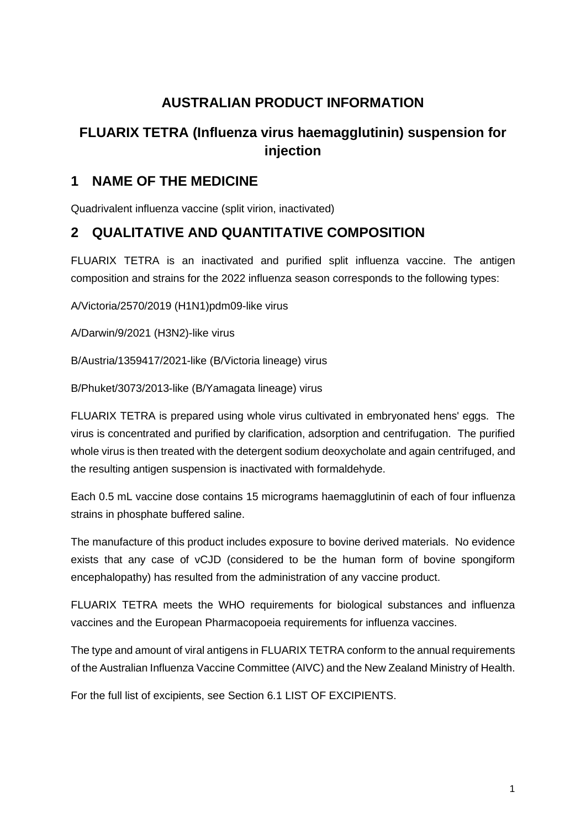# **AUSTRALIAN PRODUCT INFORMATION**

# **FLUARIX TETRA (Influenza virus haemagglutinin) suspension for injection**

# **1 NAME OF THE MEDICINE**

Quadrivalent influenza vaccine (split virion, inactivated)

# **2 QUALITATIVE AND QUANTITATIVE COMPOSITION**

FLUARIX TETRA is an inactivated and purified split influenza vaccine. The antigen composition and strains for the 2022 influenza season corresponds to the following types:

A/Victoria/2570/2019 (H1N1)pdm09-like virus

A/Darwin/9/2021 (H3N2)-like virus

B/Austria/1359417/2021-like (B/Victoria lineage) virus

B/Phuket/3073/2013-like (B/Yamagata lineage) virus

FLUARIX TETRA is prepared using whole virus cultivated in embryonated hens' eggs. The virus is concentrated and purified by clarification, adsorption and centrifugation. The purified whole virus is then treated with the detergent sodium deoxycholate and again centrifuged, and the resulting antigen suspension is inactivated with formaldehyde.

Each 0.5 mL vaccine dose contains 15 micrograms haemagglutinin of each of four influenza strains in phosphate buffered saline.

The manufacture of this product includes exposure to bovine derived materials. No evidence exists that any case of vCJD (considered to be the human form of bovine spongiform encephalopathy) has resulted from the administration of any vaccine product.

FLUARIX TETRA meets the WHO requirements for biological substances and influenza vaccines and the European Pharmacopoeia requirements for influenza vaccines.

The type and amount of viral antigens in FLUARIX TETRA conform to the annual requirements of the Australian Influenza Vaccine Committee (AIVC) and the New Zealand Ministry of Health.

For the full list of excipients, see Section 6.1 LIST OF EXCIPIENTS.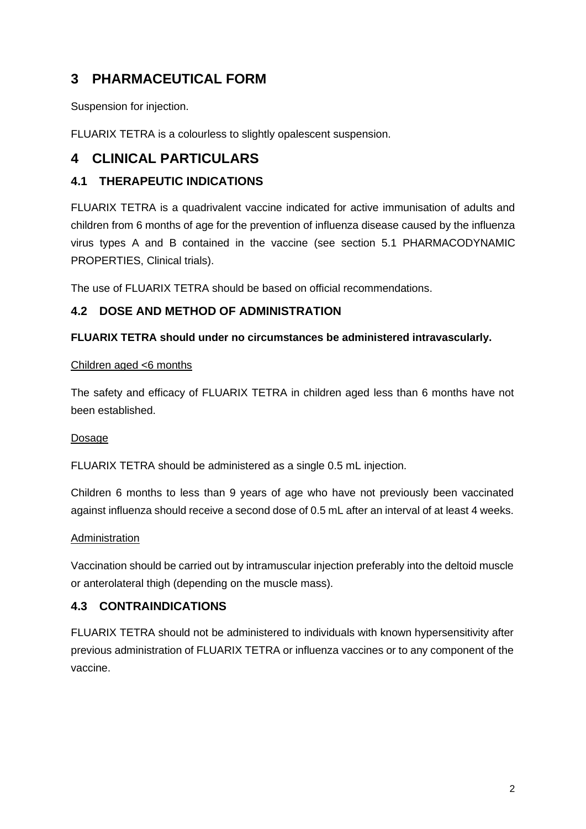# **3 PHARMACEUTICAL FORM**

Suspension for injection.

FLUARIX TETRA is a colourless to slightly opalescent suspension.

# **4 CLINICAL PARTICULARS**

## **4.1 THERAPEUTIC INDICATIONS**

FLUARIX TETRA is a quadrivalent vaccine indicated for active immunisation of adults and children from 6 months of age for the prevention of influenza disease caused by the influenza virus types A and B contained in the vaccine (see section 5.1 PHARMACODYNAMIC PROPERTIES, Clinical trials).

The use of FLUARIX TETRA should be based on official recommendations.

## **4.2 DOSE AND METHOD OF ADMINISTRATION**

### **FLUARIX TETRA should under no circumstances be administered intravascularly.**

### Children aged <6 months

The safety and efficacy of FLUARIX TETRA in children aged less than 6 months have not been established.

## Dosage

FLUARIX TETRA should be administered as a single 0.5 mL injection.

Children 6 months to less than 9 years of age who have not previously been vaccinated against influenza should receive a second dose of 0.5 mL after an interval of at least 4 weeks.

### Administration

Vaccination should be carried out by intramuscular injection preferably into the deltoid muscle or anterolateral thigh (depending on the muscle mass).

## **4.3 CONTRAINDICATIONS**

FLUARIX TETRA should not be administered to individuals with known hypersensitivity after previous administration of FLUARIX TETRA or influenza vaccines or to any component of the vaccine.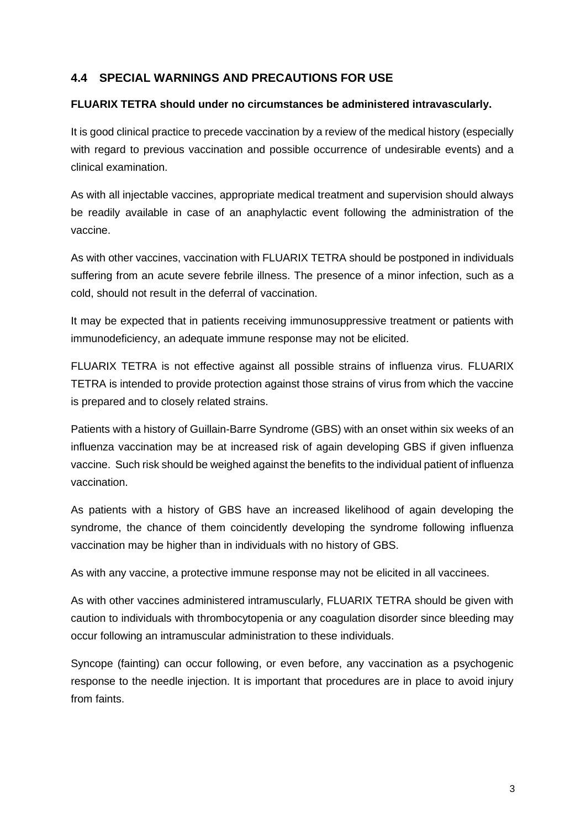## **4.4 SPECIAL WARNINGS AND PRECAUTIONS FOR USE**

### **FLUARIX TETRA should under no circumstances be administered intravascularly.**

It is good clinical practice to precede vaccination by a review of the medical history (especially with regard to previous vaccination and possible occurrence of undesirable events) and a clinical examination.

As with all injectable vaccines, appropriate medical treatment and supervision should always be readily available in case of an anaphylactic event following the administration of the vaccine.

As with other vaccines, vaccination with FLUARIX TETRA should be postponed in individuals suffering from an acute severe febrile illness. The presence of a minor infection, such as a cold, should not result in the deferral of vaccination.

It may be expected that in patients receiving immunosuppressive treatment or patients with immunodeficiency, an adequate immune response may not be elicited.

FLUARIX TETRA is not effective against all possible strains of influenza virus. FLUARIX TETRA is intended to provide protection against those strains of virus from which the vaccine is prepared and to closely related strains.

Patients with a history of Guillain-Barre Syndrome (GBS) with an onset within six weeks of an influenza vaccination may be at increased risk of again developing GBS if given influenza vaccine. Such risk should be weighed against the benefits to the individual patient of influenza vaccination.

As patients with a history of GBS have an increased likelihood of again developing the syndrome, the chance of them coincidently developing the syndrome following influenza vaccination may be higher than in individuals with no history of GBS.

As with any vaccine, a protective immune response may not be elicited in all vaccinees.

As with other vaccines administered intramuscularly, FLUARIX TETRA should be given with caution to individuals with thrombocytopenia or any coagulation disorder since bleeding may occur following an intramuscular administration to these individuals.

Syncope (fainting) can occur following, or even before, any vaccination as a psychogenic response to the needle injection. It is important that procedures are in place to avoid injury from faints.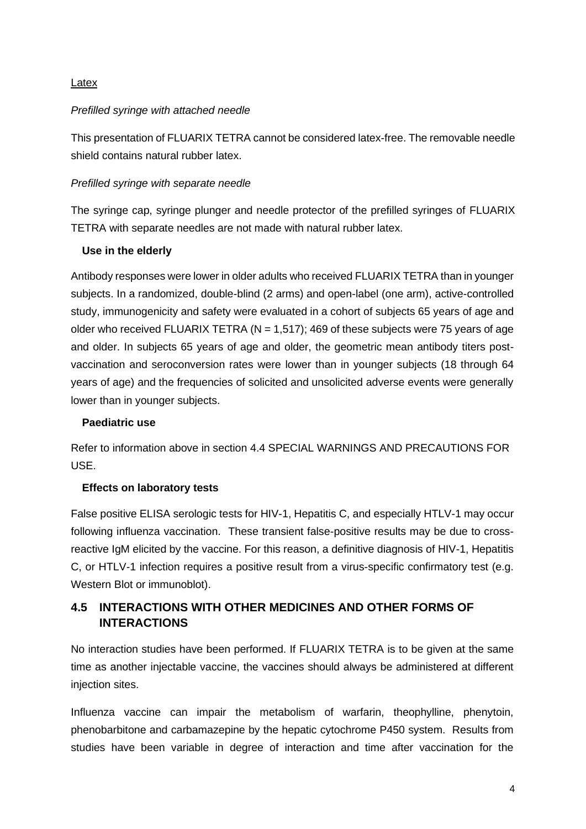### Latex

### *Prefilled syringe with attached needle*

This presentation of FLUARIX TETRA cannot be considered latex-free. The removable needle shield contains natural rubber latex.

### *Prefilled syringe with separate needle*

The syringe cap, syringe plunger and needle protector of the prefilled syringes of FLUARIX TETRA with separate needles are not made with natural rubber latex.

### **Use in the elderly**

Antibody responses were lower in older adults who received FLUARIX TETRA than in younger subjects. In a randomized, double-blind (2 arms) and open-label (one arm), active-controlled study, immunogenicity and safety were evaluated in a cohort of subjects 65 years of age and older who received FLUARIX TETRA ( $N = 1.517$ ); 469 of these subjects were 75 years of age and older. In subjects 65 years of age and older, the geometric mean antibody titers postvaccination and seroconversion rates were lower than in younger subjects (18 through 64 years of age) and the frequencies of solicited and unsolicited adverse events were generally lower than in younger subjects.

## **Paediatric use**

Refer to information above in section 4.4 SPECIAL WARNINGS AND PRECAUTIONS FOR USE.

### **Effects on laboratory tests**

False positive ELISA serologic tests for HIV-1, Hepatitis C, and especially HTLV-1 may occur following influenza vaccination. These transient false-positive results may be due to crossreactive IgM elicited by the vaccine. For this reason, a definitive diagnosis of HIV-1, Hepatitis C, or HTLV-1 infection requires a positive result from a virus-specific confirmatory test (e.g. Western Blot or immunoblot).

# **4.5 INTERACTIONS WITH OTHER MEDICINES AND OTHER FORMS OF INTERACTIONS**

No interaction studies have been performed. If FLUARIX TETRA is to be given at the same time as another injectable vaccine, the vaccines should always be administered at different injection sites.

Influenza vaccine can impair the metabolism of warfarin, theophylline, phenytoin, phenobarbitone and carbamazepine by the hepatic cytochrome P450 system. Results from studies have been variable in degree of interaction and time after vaccination for the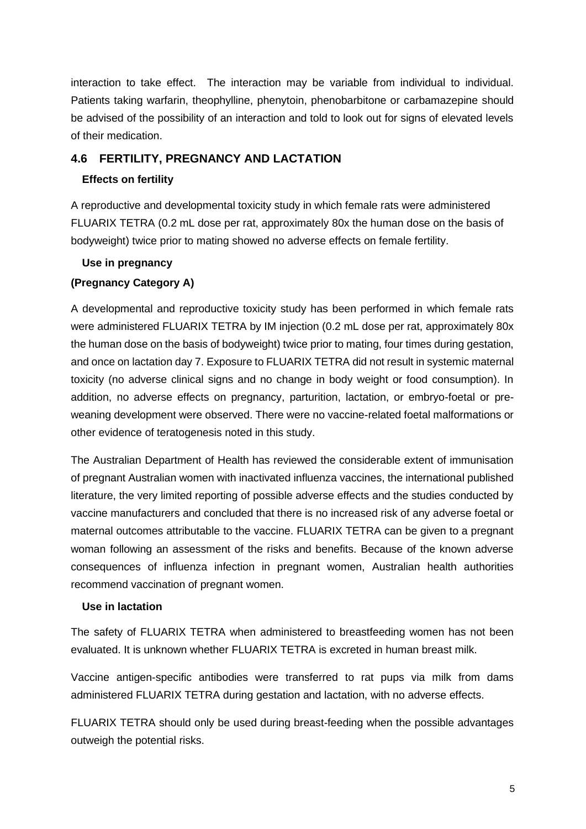interaction to take effect. The interaction may be variable from individual to individual. Patients taking warfarin, theophylline, phenytoin, phenobarbitone or carbamazepine should be advised of the possibility of an interaction and told to look out for signs of elevated levels of their medication.

## **4.6 FERTILITY, PREGNANCY AND LACTATION**

## **Effects on fertility**

A reproductive and developmental toxicity study in which female rats were administered FLUARIX TETRA (0.2 mL dose per rat, approximately 80x the human dose on the basis of bodyweight) twice prior to mating showed no adverse effects on female fertility.

## **Use in pregnancy**

## **(Pregnancy Category A)**

A developmental and reproductive toxicity study has been performed in which female rats were administered FLUARIX TETRA by IM injection (0.2 mL dose per rat, approximately 80x the human dose on the basis of bodyweight) twice prior to mating, four times during gestation, and once on lactation day 7. Exposure to FLUARIX TETRA did not result in systemic maternal toxicity (no adverse clinical signs and no change in body weight or food consumption). In addition, no adverse effects on pregnancy, parturition, lactation, or embryo-foetal or preweaning development were observed. There were no vaccine-related foetal malformations or other evidence of teratogenesis noted in this study.

The Australian Department of Health has reviewed the considerable extent of immunisation of pregnant Australian women with inactivated influenza vaccines, the international published literature, the very limited reporting of possible adverse effects and the studies conducted by vaccine manufacturers and concluded that there is no increased risk of any adverse foetal or maternal outcomes attributable to the vaccine. FLUARIX TETRA can be given to a pregnant woman following an assessment of the risks and benefits. Because of the known adverse consequences of influenza infection in pregnant women, Australian health authorities recommend vaccination of pregnant women.

### **Use in lactation**

The safety of FLUARIX TETRA when administered to breastfeeding women has not been evaluated. It is unknown whether FLUARIX TETRA is excreted in human breast milk.

Vaccine antigen-specific antibodies were transferred to rat pups via milk from dams administered FLUARIX TETRA during gestation and lactation, with no adverse effects.

FLUARIX TETRA should only be used during breast-feeding when the possible advantages outweigh the potential risks.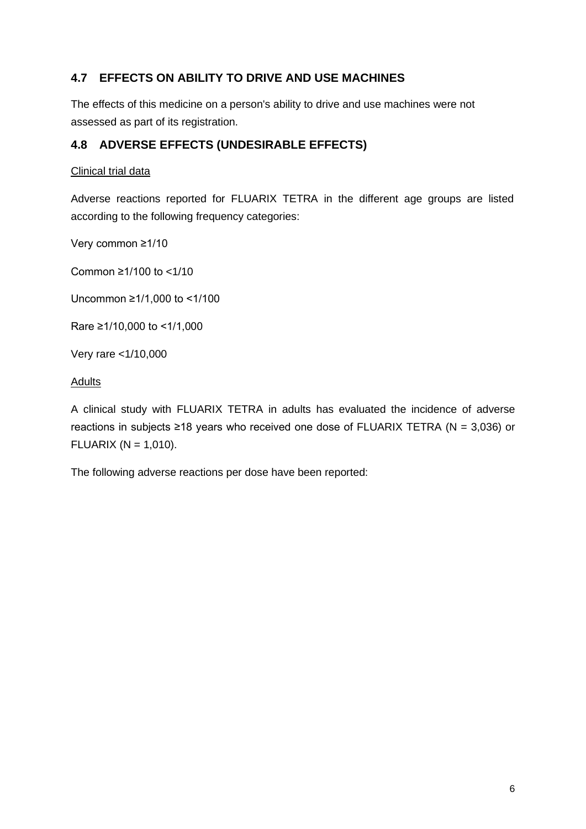# **4.7 EFFECTS ON ABILITY TO DRIVE AND USE MACHINES**

The effects of this medicine on a person's ability to drive and use machines were not assessed as part of its registration.

## **4.8 ADVERSE EFFECTS (UNDESIRABLE EFFECTS)**

### Clinical trial data

Adverse reactions reported for FLUARIX TETRA in the different age groups are listed according to the following frequency categories:

Very common ≥1/10

Common ≥1/100 to <1/10

Uncommon ≥1/1,000 to <1/100

Rare ≥1/10,000 to <1/1,000

Very rare <1/10,000

### **Adults**

A clinical study with FLUARIX TETRA in adults has evaluated the incidence of adverse reactions in subjects ≥18 years who received one dose of FLUARIX TETRA ( $N = 3,036$ ) or FLUARIX ( $N = 1,010$ ).

The following adverse reactions per dose have been reported: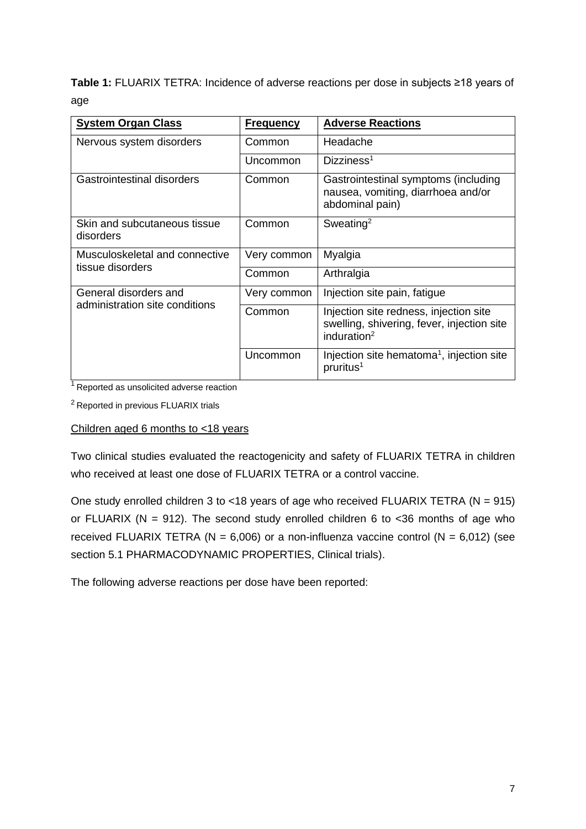**Table 1:** FLUARIX TETRA: Incidence of adverse reactions per dose in subjects ≥18 years of age

| <b>System Organ Class</b>                 | <b>Frequency</b> | <b>Adverse Reactions</b>                                                                                        |
|-------------------------------------------|------------------|-----------------------------------------------------------------------------------------------------------------|
| Nervous system disorders                  | Common           | Headache                                                                                                        |
|                                           | Uncommon         | Dizziness <sup>1</sup>                                                                                          |
| Gastrointestinal disorders                | Common           | Gastrointestinal symptoms (including<br>nausea, vomiting, diarrhoea and/or<br>abdominal pain)                   |
| Skin and subcutaneous tissue<br>disorders | Common           | Sweating <sup>2</sup>                                                                                           |
| Musculoskeletal and connective            | Very common      | Myalgia                                                                                                         |
| tissue disorders                          | Common           | Arthralgia                                                                                                      |
| General disorders and                     | Very common      | Injection site pain, fatigue                                                                                    |
| administration site conditions            | Common           | Injection site redness, injection site<br>swelling, shivering, fever, injection site<br>induration <sup>2</sup> |
|                                           | Uncommon         | Injection site hematoma <sup>1</sup> , injection site<br>pruritus <sup>1</sup>                                  |

 $1$ Reported as unsolicited adverse reaction

<sup>2</sup> Reported in previous FLUARIX trials

### Children aged 6 months to <18 years

Two clinical studies evaluated the reactogenicity and safety of FLUARIX TETRA in children who received at least one dose of FLUARIX TETRA or a control vaccine.

One study enrolled children 3 to <18 years of age who received FLUARIX TETRA ( $N = 915$ ) or FLUARIX (N = 912). The second study enrolled children 6 to  $<$ 36 months of age who received FLUARIX TETRA ( $N = 6,006$ ) or a non-influenza vaccine control ( $N = 6,012$ ) (see section 5.1 PHARMACODYNAMIC PROPERTIES, Clinical trials).

The following adverse reactions per dose have been reported: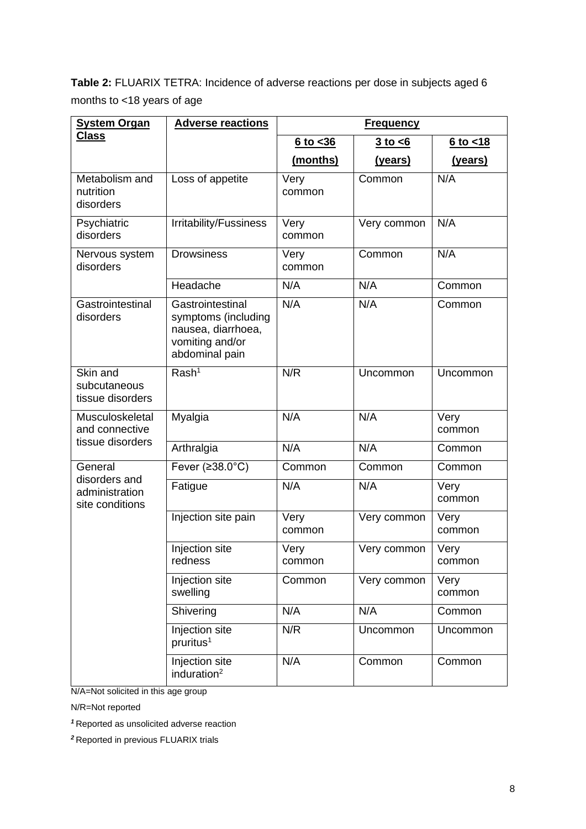**Table 2:** FLUARIX TETRA: Incidence of adverse reactions per dose in subjects aged 6 months to <18 years of age

| <b>System Organ</b>                                | <b>Adverse reactions</b>                                                                           |                | <b>Frequency</b> |                |
|----------------------------------------------------|----------------------------------------------------------------------------------------------------|----------------|------------------|----------------|
| <b>Class</b>                                       |                                                                                                    | $6$ to $<$ 36  | $3$ to $\leq 6$  | $6$ to $< 18$  |
|                                                    |                                                                                                    | (months)       | (years)          | (years)        |
| Metabolism and<br>nutrition<br>disorders           | Loss of appetite                                                                                   | Very<br>common | Common           | N/A            |
| Psychiatric<br>disorders                           | Irritability/Fussiness                                                                             | Very<br>common | Very common      | N/A            |
| Nervous system<br>disorders                        | <b>Drowsiness</b>                                                                                  | Very<br>common | Common           | N/A            |
|                                                    | Headache                                                                                           | N/A            | N/A              | Common         |
| Gastrointestinal<br>disorders                      | Gastrointestinal<br>symptoms (including<br>nausea, diarrhoea,<br>vomiting and/or<br>abdominal pain | N/A            | N/A              | Common         |
| Skin and<br>subcutaneous<br>tissue disorders       | Rash <sup>1</sup>                                                                                  | N/R            | Uncommon         | Uncommon       |
| Musculoskeletal<br>and connective                  | Myalgia                                                                                            | N/A            | N/A              | Very<br>common |
| tissue disorders                                   | Arthralgia                                                                                         | N/A            | N/A              | Common         |
| General                                            | Fever $(238.0^{\circ}C)$                                                                           | Common         | Common           | Common         |
| disorders and<br>administration<br>site conditions | Fatigue                                                                                            | N/A            | N/A              | Very<br>common |
|                                                    | Injection site pain                                                                                | Very<br>common | Very common      | Very<br>common |
|                                                    | Injection site<br>redness                                                                          | Very<br>common | Very common      | Very<br>common |
|                                                    | Injection site<br>swelling                                                                         | Common         | Very common      | Very<br>common |
|                                                    | Shivering                                                                                          | N/A            | N/A              | Common         |
|                                                    | Injection site<br>pruritus <sup>1</sup>                                                            | N/R            | Uncommon         | Uncommon       |
|                                                    | Injection site<br>induration $2$                                                                   | N/A            | Common           | Common         |

N/A=Not solicited in this age group

N/R=Not reported

*<sup>1</sup>*Reported as unsolicited adverse reaction

*<sup>2</sup>*Reported in previous FLUARIX trials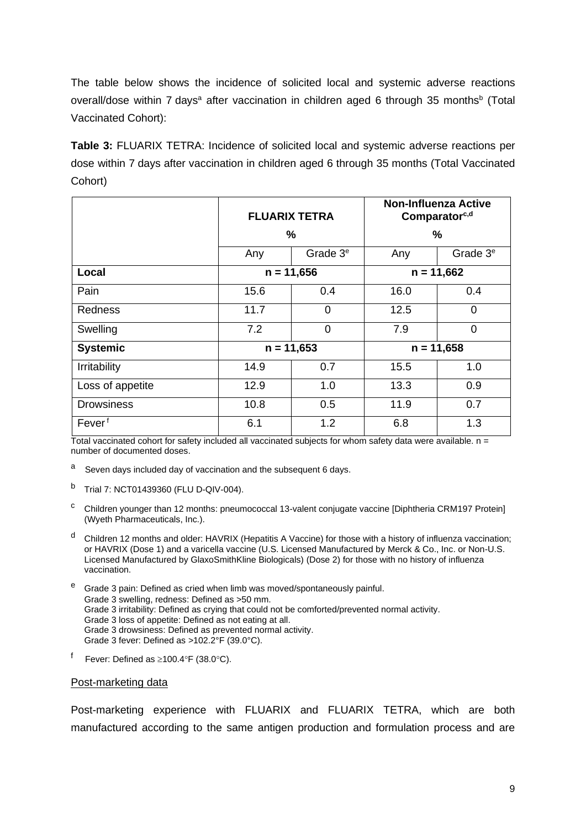The table below shows the incidence of solicited local and systemic adverse reactions overall/dose within 7 days<sup>a</sup> after vaccination in children aged 6 through 35 months<sup>b</sup> (Total Vaccinated Cohort):

**Table 3:** FLUARIX TETRA: Incidence of solicited local and systemic adverse reactions per dose within 7 days after vaccination in children aged 6 through 35 months (Total Vaccinated Cohort)

|                    |      | <b>FLUARIX TETRA</b> |              | <b>Non-Influenza Active</b><br>Comparator <sup>c,d</sup> |
|--------------------|------|----------------------|--------------|----------------------------------------------------------|
|                    |      | %                    |              | ℅                                                        |
|                    | Any  | Grade 3 <sup>e</sup> | Any          | Grade 3 <sup>e</sup>                                     |
| Local              |      | $n = 11,656$         | $n = 11,662$ |                                                          |
| Pain               | 15.6 | 0.4                  | 16.0         | 0.4                                                      |
| <b>Redness</b>     | 11.7 | 0                    | 12.5         | $\overline{0}$                                           |
| Swelling           | 7.2  | 0                    | 7.9          | $\overline{0}$                                           |
| <b>Systemic</b>    |      | $n = 11,653$         |              | $n = 11,658$                                             |
| Irritability       | 14.9 | 0.7                  | 15.5         | 1.0                                                      |
| Loss of appetite   | 12.9 | 1.0                  | 13.3         | 0.9                                                      |
| <b>Drowsiness</b>  | 10.8 | 0.5                  | 11.9         | 0.7                                                      |
| Fever <sup>f</sup> | 6.1  | 1.2                  | 6.8          | 1.3                                                      |

Total vaccinated cohort for safety included all vaccinated subjects for whom safety data were available.  $n =$ number of documented doses.

- a Seven days included day of vaccination and the subsequent 6 days.
- <sup>b</sup> Trial 7: NCT01439360 (FLU D-QIV-004).
- <sup>c</sup> Children younger than 12 months: pneumococcal 13-valent conjugate vaccine [Diphtheria CRM197 Protein] (Wyeth Pharmaceuticals, Inc.).
- <sup>d</sup> Children 12 months and older: HAVRIX (Hepatitis A Vaccine) for those with a history of influenza vaccination; or HAVRIX (Dose 1) and a varicella vaccine (U.S. Licensed Manufactured by Merck & Co., Inc. or Non-U.S. Licensed Manufactured by GlaxoSmithKline Biologicals) (Dose 2) for those with no history of influenza vaccination.
- Grade 3 pain: Defined as cried when limb was moved/spontaneously painful. Grade 3 swelling, redness: Defined as >50 mm. Grade 3 irritability: Defined as crying that could not be comforted/prevented normal activity. Grade 3 loss of appetite: Defined as not eating at all. Grade 3 drowsiness: Defined as prevented normal activity. Grade 3 fever: Defined as >102.2°F (39.0°C).
- $^{\mathsf{f}}$  Fever: Defined as ≥100.4°F (38.0°C).

#### Post-marketing data

Post-marketing experience with FLUARIX and FLUARIX TETRA, which are both manufactured according to the same antigen production and formulation process and are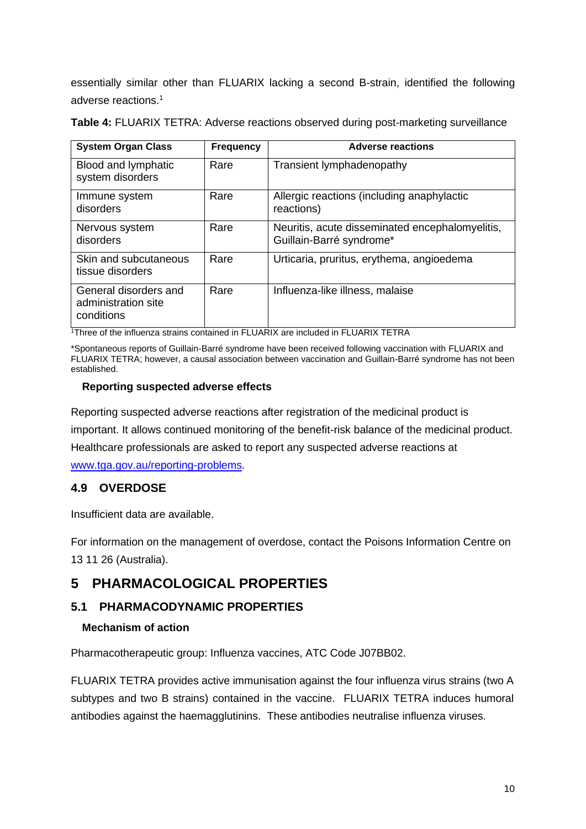essentially similar other than FLUARIX lacking a second B-strain, identified the following adverse reactions.<sup>1</sup>

| <b>System Organ Class</b>                                  | <b>Frequency</b> | <b>Adverse reactions</b>                                                    |
|------------------------------------------------------------|------------------|-----------------------------------------------------------------------------|
| Blood and lymphatic<br>system disorders                    | Rare             | Transient lymphadenopathy                                                   |
| Immune system<br>disorders                                 | Rare             | Allergic reactions (including anaphylactic<br>reactions)                    |
| Nervous system<br>disorders                                | Rare             | Neuritis, acute disseminated encephalomyelitis,<br>Guillain-Barré syndrome* |
| Skin and subcutaneous<br>tissue disorders                  | Rare             | Urticaria, pruritus, erythema, angioedema                                   |
| General disorders and<br>administration site<br>conditions | Rare             | Influenza-like illness, malaise                                             |

**Table 4:** FLUARIX TETRA: Adverse reactions observed during post-marketing surveillance

<sup>1</sup>Three of the influenza strains contained in FLUARIX are included in FLUARIX TETRA

\*Spontaneous reports of Guillain-Barré syndrome have been received following vaccination with FLUARIX and FLUARIX TETRA; however, a causal association between vaccination and Guillain-Barré syndrome has not been established.

### **Reporting suspected adverse effects**

Reporting suspected adverse reactions after registration of the medicinal product is important. It allows continued monitoring of the benefit-risk balance of the medicinal product. Healthcare professionals are asked to report any suspected adverse reactions at [www.tga.gov.au/reporting-problems.](http://www.tga.gov.au/reporting-problems)

## **4.9 OVERDOSE**

Insufficient data are available.

For information on the management of overdose, contact the Poisons Information Centre on 13 11 26 (Australia).

# **5 PHARMACOLOGICAL PROPERTIES**

## **5.1 PHARMACODYNAMIC PROPERTIES**

## **Mechanism of action**

Pharmacotherapeutic group: Influenza vaccines, ATC Code J07BB02.

FLUARIX TETRA provides active immunisation against the four influenza virus strains (two A subtypes and two B strains) contained in the vaccine. FLUARIX TETRA induces humoral antibodies against the haemagglutinins. These antibodies neutralise influenza viruses.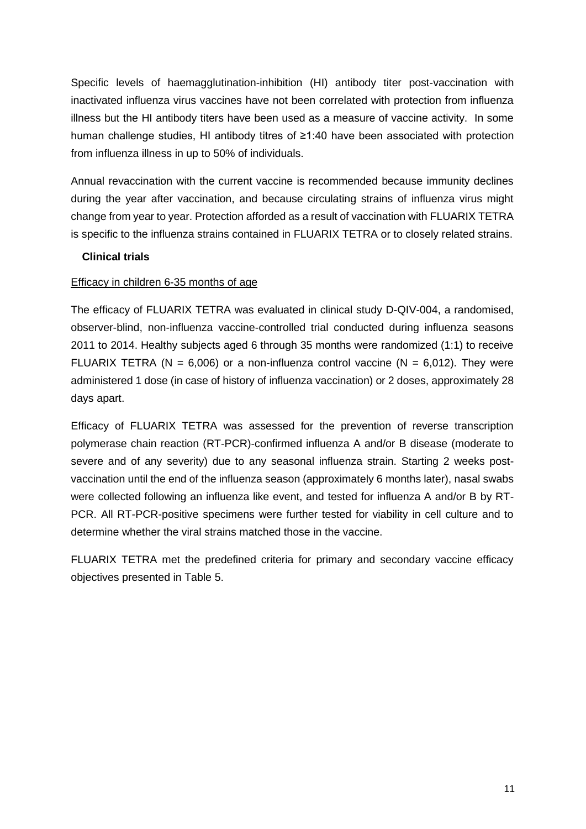Specific levels of haemagglutination-inhibition (HI) antibody titer post-vaccination with inactivated influenza virus vaccines have not been correlated with protection from influenza illness but the HI antibody titers have been used as a measure of vaccine activity. In some human challenge studies, HI antibody titres of ≥1:40 have been associated with protection from influenza illness in up to 50% of individuals.

Annual revaccination with the current vaccine is recommended because immunity declines during the year after vaccination, and because circulating strains of influenza virus might change from year to year. Protection afforded as a result of vaccination with FLUARIX TETRA is specific to the influenza strains contained in FLUARIX TETRA or to closely related strains.

#### **Clinical trials**

#### Efficacy in children 6-35 months of age

The efficacy of FLUARIX TETRA was evaluated in clinical study D-QIV-004, a randomised, observer-blind, non-influenza vaccine-controlled trial conducted during influenza seasons 2011 to 2014. Healthy subjects aged 6 through 35 months were randomized (1:1) to receive FLUARIX TETRA ( $N = 6,006$ ) or a non-influenza control vaccine ( $N = 6,012$ ). They were administered 1 dose (in case of history of influenza vaccination) or 2 doses, approximately 28 days apart.

Efficacy of FLUARIX TETRA was assessed for the prevention of reverse transcription polymerase chain reaction (RT-PCR)-confirmed influenza A and/or B disease (moderate to severe and of any severity) due to any seasonal influenza strain. Starting 2 weeks postvaccination until the end of the influenza season (approximately 6 months later), nasal swabs were collected following an influenza like event, and tested for influenza A and/or B by RT-PCR. All RT-PCR-positive specimens were further tested for viability in cell culture and to determine whether the viral strains matched those in the vaccine.

FLUARIX TETRA met the predefined criteria for primary and secondary vaccine efficacy objectives presented in Table 5.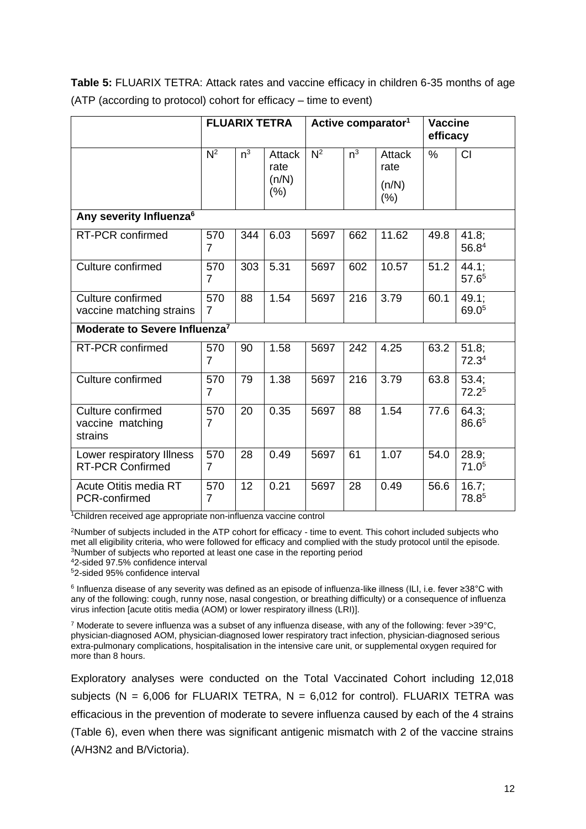| Table 5: FLUARIX TETRA: Attack rates and vaccine efficacy in children 6-35 months of age |
|------------------------------------------------------------------------------------------|
| (ATP (according to protocol) cohort for efficacy – time to event)                        |

|                                                      | <b>FLUARIX TETRA</b>  |       | Active comparator <sup>1</sup> |                  | <b>Vaccine</b><br>efficacy |                 |      |                               |
|------------------------------------------------------|-----------------------|-------|--------------------------------|------------------|----------------------------|-----------------|------|-------------------------------|
|                                                      | $\overline{N^2}$      | $n^3$ | <b>Attack</b><br>rate          | $\overline{N^2}$ | $n^3$                      | Attack<br>rate  | $\%$ | <b>CI</b>                     |
|                                                      |                       |       | (n/N)<br>(%)                   |                  |                            | (n/N)<br>$(\%)$ |      |                               |
| Any severity Influenza <sup>6</sup>                  |                       |       |                                |                  |                            |                 |      |                               |
| RT-PCR confirmed                                     | 570<br>$\overline{7}$ | 344   | 6.03                           | 5697             | 662                        | 11.62           | 49.8 | 41.8;<br>56.84                |
| Culture confirmed                                    | 570<br>$\overline{7}$ | 303   | 5.31                           | 5697             | 602                        | 10.57           | 51.2 | $44.1$ ;<br>57.6 <sup>5</sup> |
| Culture confirmed<br>vaccine matching strains        | 570<br>$\overline{7}$ | 88    | 1.54                           | 5697             | 216                        | 3.79            | 60.1 | 49.1;<br>69.05                |
| Moderate to Severe Influenza <sup>7</sup>            |                       |       |                                |                  |                            |                 |      |                               |
| RT-PCR confirmed                                     | 570<br>$\overline{7}$ | 90    | 1.58                           | 5697             | 242                        | 4.25            | 63.2 | $51.8$ ;<br>72.3 <sup>4</sup> |
| Culture confirmed                                    | 570<br>$\overline{7}$ | 79    | 1.38                           | 5697             | 216                        | 3.79            | 63.8 | $53.4$ ;<br>72.2 <sup>5</sup> |
| Culture confirmed<br>vaccine matching<br>strains     | 570<br>$\overline{7}$ | 20    | 0.35                           | 5697             | 88                         | 1.54            | 77.6 | 64.3;<br>86.65                |
| Lower respiratory Illness<br><b>RT-PCR Confirmed</b> | 570<br>$\overline{7}$ | 28    | 0.49                           | 5697             | 61                         | 1.07            | 54.0 | $28.9$ ;<br>71.0 <sup>5</sup> |
| Acute Otitis media RT<br>PCR-confirmed               | 570<br>$\overline{7}$ | 12    | 0.21                           | 5697             | 28                         | 0.49            | 56.6 | 16.7;<br>78.85                |

<sup>1</sup>Children received age appropriate non-influenza vaccine control

<sup>2</sup>Number of subjects included in the ATP cohort for efficacy - time to event. This cohort included subjects who met all eligibility criteria, who were followed for efficacy and complied with the study protocol until the episode. <sup>3</sup>Number of subjects who reported at least one case in the reporting period

<sup>4</sup>2-sided 97.5% confidence interval

<sup>5</sup>2-sided 95% confidence interval

6 Influenza disease of any severity was defined as an episode of influenza-like illness (ILI, i.e. fever ≥38°C with any of the following: cough, runny nose, nasal congestion, or breathing difficulty) or a consequence of influenza virus infection [acute otitis media (AOM) or lower respiratory illness (LRI)].

<sup>7</sup> Moderate to severe influenza was a subset of any influenza disease, with any of the following: fever >39°C, physician-diagnosed AOM, physician-diagnosed lower respiratory tract infection, physician-diagnosed serious extra-pulmonary complications, hospitalisation in the intensive care unit, or supplemental oxygen required for more than 8 hours.

Exploratory analyses were conducted on the Total Vaccinated Cohort including 12,018 subjects (N =  $6,006$  for FLUARIX TETRA, N =  $6,012$  for control). FLUARIX TETRA was efficacious in the prevention of moderate to severe influenza caused by each of the 4 strains (Table 6), even when there was significant antigenic mismatch with 2 of the vaccine strains (A/H3N2 and B/Victoria).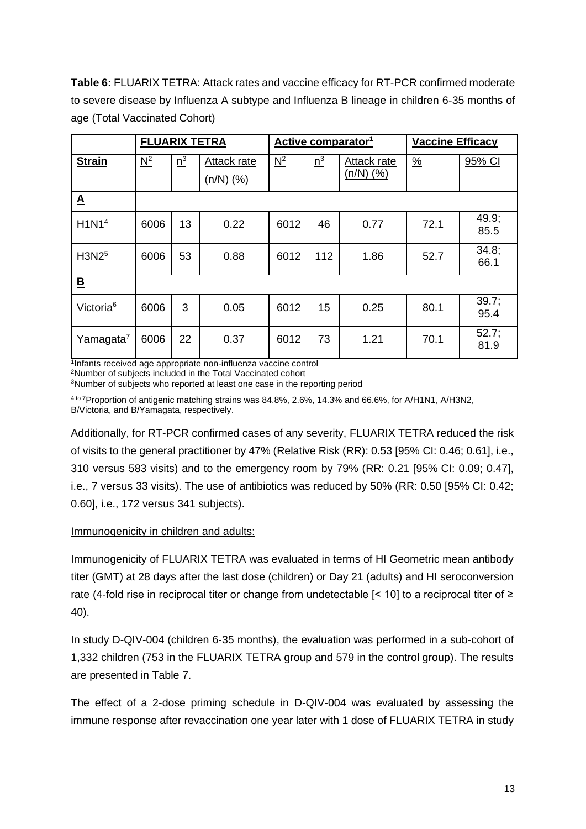**Table 6:** FLUARIX TETRA: Attack rates and vaccine efficacy for RT-PCR confirmed moderate to severe disease by Influenza A subtype and Influenza B lineage in children 6-35 months of age (Total Vaccinated Cohort)

|                          | <b>FLUARIX TETRA</b> |       |             | Active comparator <sup>1</sup> |       |             | <b>Vaccine Efficacy</b> |                  |
|--------------------------|----------------------|-------|-------------|--------------------------------|-------|-------------|-------------------------|------------------|
| <b>Strain</b>            | $N^2$                | $n^3$ | Attack rate | $\underline{N}^2$              | $n^3$ | Attack rate | $\frac{9}{6}$           | 95% CI           |
|                          |                      |       | $(n/N)$ (%) |                                |       | $(n/N)$ (%) |                         |                  |
| $\underline{\mathbf{A}}$ |                      |       |             |                                |       |             |                         |                  |
| H1N1 <sup>4</sup>        | 6006                 | 13    | 0.22        | 6012                           | 46    | 0.77        | 72.1                    | 49.9;<br>85.5    |
| H3N2 <sup>5</sup>        | 6006                 | 53    | 0.88        | 6012                           | 112   | 1.86        | 52.7                    | 34.8;<br>66.1    |
| $\overline{\mathbf{B}}$  |                      |       |             |                                |       |             |                         |                  |
| Victoria <sup>6</sup>    | 6006                 | 3     | 0.05        | 6012                           | 15    | 0.25        | 80.1                    | $39.7$ ;<br>95.4 |
| Yamagata <sup>7</sup>    | 6006                 | 22    | 0.37        | 6012                           | 73    | 1.21        | 70.1                    | 52.7;<br>81.9    |

1 Infants received age appropriate non-influenza vaccine control

<sup>2</sup>Number of subjects included in the Total Vaccinated cohort

<sup>3</sup>Number of subjects who reported at least one case in the reporting period

4 to 7Proportion of antigenic matching strains was 84.8%, 2.6%, 14.3% and 66.6%, for A/H1N1, A/H3N2, B/Victoria, and B/Yamagata, respectively.

Additionally, for RT-PCR confirmed cases of any severity, FLUARIX TETRA reduced the risk of visits to the general practitioner by 47% (Relative Risk (RR): 0.53 [95% CI: 0.46; 0.61], i.e., 310 versus 583 visits) and to the emergency room by 79% (RR: 0.21 [95% CI: 0.09; 0.47], i.e., 7 versus 33 visits). The use of antibiotics was reduced by 50% (RR: 0.50 [95% CI: 0.42; 0.60], i.e., 172 versus 341 subjects).

## Immunogenicity in children and adults:

Immunogenicity of FLUARIX TETRA was evaluated in terms of HI Geometric mean antibody titer (GMT) at 28 days after the last dose (children) or Day 21 (adults) and HI seroconversion rate (4-fold rise in reciprocal titer or change from undetectable [< 10] to a reciprocal titer of ≥ 40).

In study D-QIV-004 (children 6-35 months), the evaluation was performed in a sub-cohort of 1,332 children (753 in the FLUARIX TETRA group and 579 in the control group). The results are presented in Table 7.

The effect of a 2-dose priming schedule in D-QIV-004 was evaluated by assessing the immune response after revaccination one year later with 1 dose of FLUARIX TETRA in study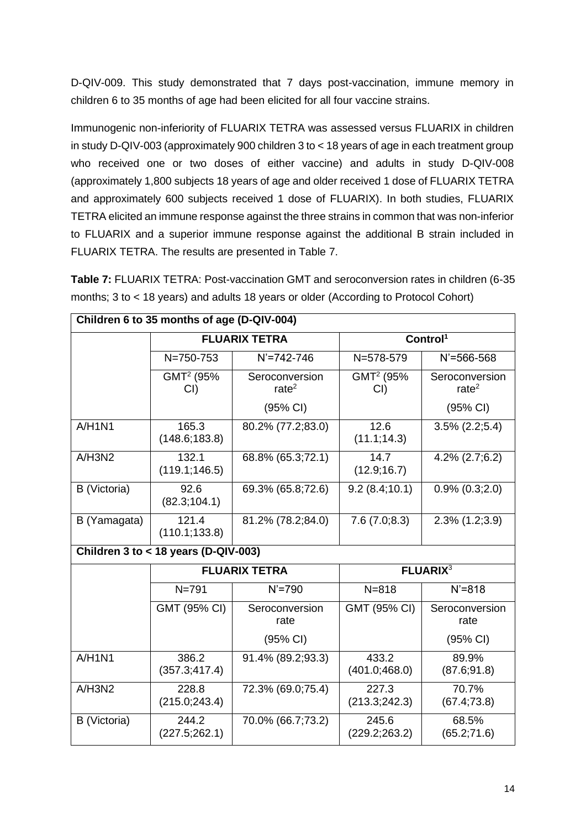D-QIV-009. This study demonstrated that 7 days post-vaccination, immune memory in children 6 to 35 months of age had been elicited for all four vaccine strains.

Immunogenic non-inferiority of FLUARIX TETRA was assessed versus FLUARIX in children in study D-QIV-003 (approximately 900 children 3 to < 18 years of age in each treatment group who received one or two doses of either vaccine) and adults in study D-QIV-008 (approximately 1,800 subjects 18 years of age and older received 1 dose of FLUARIX TETRA and approximately 600 subjects received 1 dose of FLUARIX). In both studies, FLUARIX TETRA elicited an immune response against the three strains in common that was non-inferior to FLUARIX and a superior immune response against the additional B strain included in FLUARIX TETRA. The results are presented in Table 7.

**Table 7:** FLUARIX TETRA: Post-vaccination GMT and seroconversion rates in children (6-35 months; 3 to < 18 years) and adults 18 years or older (According to Protocol Cohort)

| Children 6 to 35 months of age (D-QIV-004) |                                        |                            |                              |                            |  |
|--------------------------------------------|----------------------------------------|----------------------------|------------------------------|----------------------------|--|
|                                            |                                        | <b>FLUARIX TETRA</b>       |                              | Control <sup>1</sup>       |  |
|                                            | N=750-753                              | $N' = 742 - 746$           | N=578-579                    | $N' = 566 - 568$           |  |
|                                            | GMT <sup>2</sup> (95%<br>CI            | Seroconversion<br>rate $2$ | GMT <sup>2</sup> (95%<br>CI) | Seroconversion<br>rate $2$ |  |
|                                            |                                        | (95% CI)                   |                              | (95% CI)                   |  |
| A/H1N1                                     | 165.3<br>(148.6; 183.8)                | 80.2% (77.2;83.0)          | 12.6<br>(11.1; 14.3)         | $3.5\%$ (2.2;5.4)          |  |
| A/H3N2                                     | 132.1<br>(119.1; 146.5)                | 68.8% (65.3;72.1)          | 14.7<br>(12.9; 16.7)         | $4.2\%$ (2.7;6.2)          |  |
| B (Victoria)                               | 92.6<br>(82.3; 104.1)                  | 69.3% (65.8;72.6)          | 9.2(8.4;10.1)                | $0.9\%$ $(0.3;2.0)$        |  |
| B (Yamagata)                               | 121.4<br>(110.1; 133.8)                | 81.2% (78.2;84.0)          | 7.6(7.0;8.3)                 | $2.3\%$ $(1.2;3.9)$        |  |
|                                            | Children $3$ to < 18 years (D-QIV-003) |                            |                              |                            |  |
|                                            |                                        | <b>FLUARIX TETRA</b>       | <b>FLUARIX3</b>              |                            |  |
|                                            | $N = 791$                              | $N' = 790$                 | $N = 818$                    | $N' = 818$                 |  |
|                                            | GMT (95% CI)                           | Seroconversion<br>rate     | GMT (95% CI)                 | Seroconversion<br>rate     |  |
|                                            |                                        | (95% CI)                   |                              | (95% CI)                   |  |
| A/H1N1                                     | 386.2<br>(357.3; 417.4)                | 91.4% (89.2;93.3)          | 433.2<br>(401.0; 468.0)      | 89.9%<br>(87.6; 91.8)      |  |
| A/H3N2                                     | 228.8<br>(215.0; 243.4)                | 72.3% (69.0;75.4)          | 227.3<br>(213.3; 242.3)      | 70.7%<br>(67.4;73.8)       |  |
| B (Victoria)                               | 244.2<br>(227.5;262.1)                 | 70.0% (66.7;73.2)          | 245.6<br>(229.2; 263.2)      | 68.5%<br>(65.2;71.6)       |  |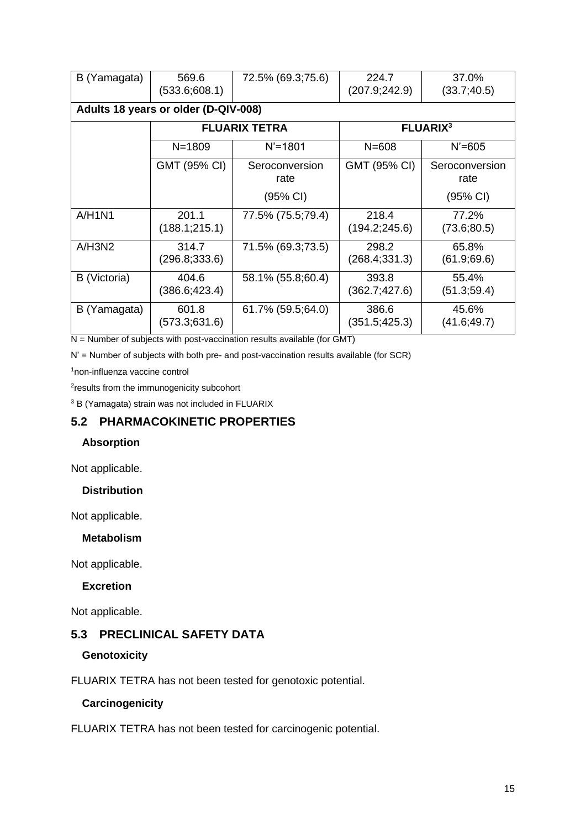| B (Yamagata) | 569.6<br>(533.6;608.1)               | 72.5% (69.3;75.6)      | 224.7<br>(207.9;242.9)  | 37.0%<br>(33.7; 40.5)  |  |
|--------------|--------------------------------------|------------------------|-------------------------|------------------------|--|
|              | Adults 18 years or older (D-QIV-008) |                        |                         |                        |  |
|              |                                      | <b>FLUARIX TETRA</b>   | <b>FLUARIX3</b>         |                        |  |
|              | $N = 1809$                           | $N' = 1801$            | $N = 608$               | $N' = 605$             |  |
|              | GMT (95% CI)                         | Seroconversion<br>rate | GMT (95% CI)            | Seroconversion<br>rate |  |
|              |                                      | (95% CI)               |                         | (95% CI)               |  |
| A/H1N1       | 201.1<br>(188.1;215.1)               | 77.5% (75.5;79.4)      | 218.4<br>(194.2;245.6)  | 77.2%<br>(73.6; 80.5)  |  |
| A/H3N2       | 314.7<br>(296.8; 333.6)              | 71.5% (69.3;73.5)      | 298.2<br>(268.4; 331.3) | 65.8%<br>(61.9; 69.6)  |  |
| B (Victoria) | 404.6<br>(386.6;423.4)               | 58.1% (55.8;60.4)      | 393.8<br>(362.7;427.6)  | 55.4%<br>(51.3; 59.4)  |  |
| B (Yamagata) | 601.8<br>(573.3;631.6)               | 61.7% (59.5;64.0)      | 386.6<br>(351.5; 425.3) | 45.6%<br>(41.6; 49.7)  |  |

 $N =$  Number of subjects with post-vaccination results available (for GMT)

N' = Number of subjects with both pre- and post-vaccination results available (for SCR)

<sup>1</sup>non-influenza vaccine control

<sup>2</sup>results from the immunogenicity subcohort

<sup>3</sup> B (Yamagata) strain was not included in FLUARIX

## **5.2 PHARMACOKINETIC PROPERTIES**

### **Absorption**

Not applicable.

#### **Distribution**

Not applicable.

#### **Metabolism**

Not applicable.

#### **Excretion**

Not applicable.

## **5.3 PRECLINICAL SAFETY DATA**

#### **Genotoxicity**

FLUARIX TETRA has not been tested for genotoxic potential.

#### **Carcinogenicity**

FLUARIX TETRA has not been tested for carcinogenic potential.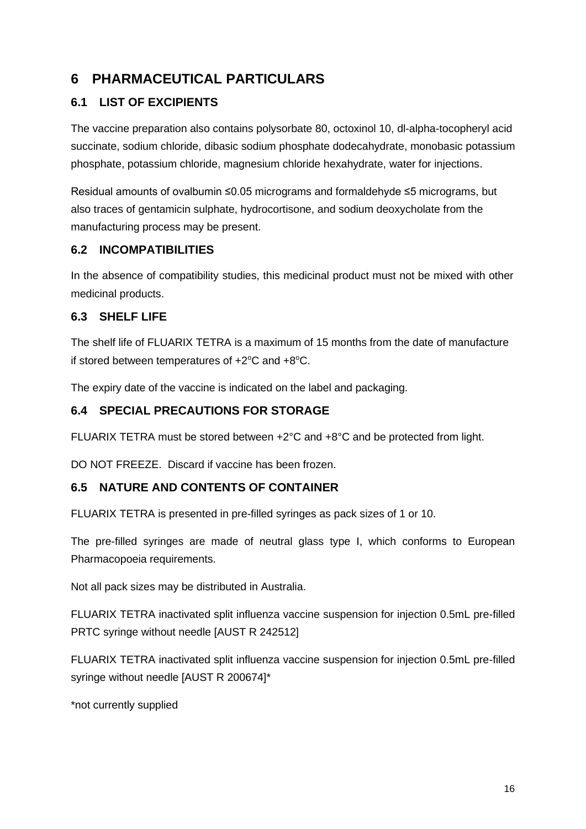# **6 PHARMACEUTICAL PARTICULARS**

# **6.1 LIST OF EXCIPIENTS**

The vaccine preparation also contains polysorbate 80, octoxinol 10, dl-alpha-tocopheryl acid succinate, sodium chloride, dibasic sodium phosphate dodecahydrate, monobasic potassium phosphate, potassium chloride, magnesium chloride hexahydrate, water for injections.

Residual amounts of ovalbumin ≤0.05 micrograms and formaldehyde ≤5 micrograms, but also traces of gentamicin sulphate, hydrocortisone, and sodium deoxycholate from the manufacturing process may be present.

## **6.2 INCOMPATIBILITIES**

In the absence of compatibility studies, this medicinal product must not be mixed with other medicinal products.

# **6.3 SHELF LIFE**

The shelf life of FLUARIX TETRA is a maximum of 15 months from the date of manufacture if stored between temperatures of  $+2^{\circ}C$  and  $+8^{\circ}C$ .

The expiry date of the vaccine is indicated on the label and packaging.

# **6.4 SPECIAL PRECAUTIONS FOR STORAGE**

FLUARIX TETRA must be stored between +2°C and +8°C and be protected from light.

DO NOT FREEZE. Discard if vaccine has been frozen.

## **6.5 NATURE AND CONTENTS OF CONTAINER**

FLUARIX TETRA is presented in pre-filled syringes as pack sizes of 1 or 10.

The pre-filled syringes are made of neutral glass type I, which conforms to European Pharmacopoeia requirements.

Not all pack sizes may be distributed in Australia.

FLUARIX TETRA inactivated split influenza vaccine suspension for injection 0.5mL pre-filled PRTC syringe without needle [AUST R 242512]

FLUARIX TETRA inactivated split influenza vaccine suspension for injection 0.5mL pre-filled syringe without needle [AUST R 200674]\*

\*not currently supplied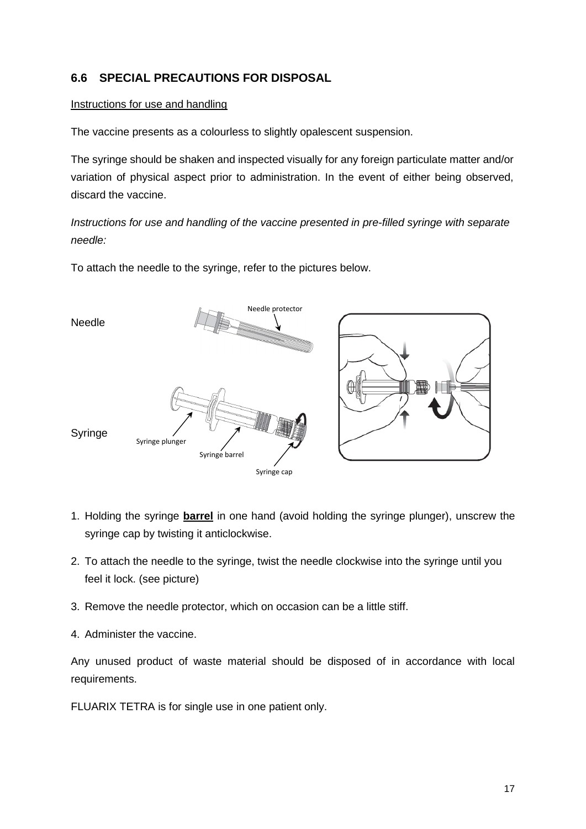# **6.6 SPECIAL PRECAUTIONS FOR DISPOSAL**

### Instructions for use and handling

The vaccine presents as a colourless to slightly opalescent suspension.

The syringe should be shaken and inspected visually for any foreign particulate matter and/or variation of physical aspect prior to administration. In the event of either being observed, discard the vaccine.

*Instructions for use and handling of the vaccine presented in pre-filled syringe with separate needle:*

To attach the needle to the syringe, refer to the pictures below.



- 1. Holding the syringe **barrel** in one hand (avoid holding the syringe plunger), unscrew the syringe cap by twisting it anticlockwise.
- 2. To attach the needle to the syringe, twist the needle clockwise into the syringe until you feel it lock. (see picture)
- 3. Remove the needle protector, which on occasion can be a little stiff.
- 4. Administer the vaccine.

Any unused product of waste material should be disposed of in accordance with local requirements.

FLUARIX TETRA is for single use in one patient only.